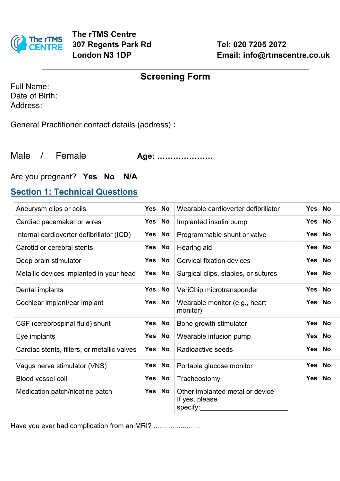

|  | <b>Screening Form</b> |
|--|-----------------------|
|  |                       |

Full Name: Date of Birth: Address:

General Practitioner contact details (address) :

Male / Female **Age: …………………**

## Are you pregnant? **Yes No N/A**

## **Section 1: Technical Questions**

| Aneurysm clips or coils                     | Yes No | Wearable cardioverter defibrillator                           | Yes No |
|---------------------------------------------|--------|---------------------------------------------------------------|--------|
| Cardiac pacemaker or wires                  | Yes No | Implanted insulin pump                                        | Yes No |
| Internal cardioverter defibrillator (ICD)   | Yes No | Programmable shunt or valve                                   | Yes No |
| Carotid or cerebral stents                  | Yes No | Hearing aid                                                   | Yes No |
| Deep brain stimulator                       | Yes No | <b>Cervical fixation devices</b>                              | Yes No |
| Metallic devices implanted in your head     | Yes No | Surgical clips, staples, or sutures                           | Yes No |
| Dental implants                             | Yes No | VeriChip microtransponder                                     | Yes No |
| Cochlear implant/ear implant                | Yes No | Wearable monitor (e.g., heart<br>monitor)                     | Yes No |
| CSF (cerebrospinal fluid) shunt             | Yes No | Bone growth stimulator                                        | Yes No |
| Eye implants                                | Yes No | Wearable infusion pump                                        | Yes No |
| Cardiac stents, filters, or metallic valves | Yes No | Radioactive seeds                                             | Yes No |
| Vagus nerve stimulator (VNS)                | Yes No | Portable glucose monitor                                      | Yes No |
| Blood vessel coil                           | Yes No | Tracheostomy                                                  | Yes No |
| Medication patch/nicotine patch             | Yes No | Other implanted metal or device<br>If yes, please<br>specify: |        |

Have you ever had complication from an MRI? .....................